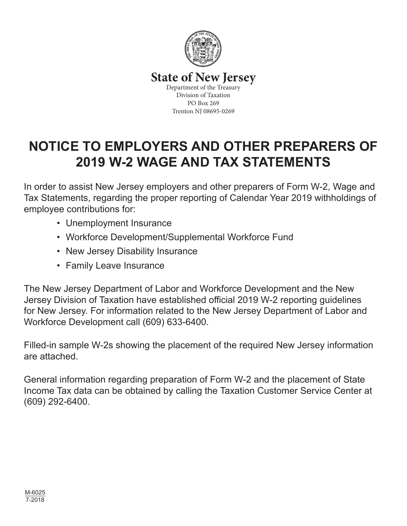

### **State of New Jersey**

Department of the Treasury Division of Taxation PO Box 269 Trenton NJ 08695-0269

# **NOTICE TO EMPLOYERS AND OTHER PREPARERS OF 2019 W-2 WAGE AND TAX STATEMENTS**

In order to assist New Jersey employers and other preparers of Form W-2, Wage and Tax Statements, regarding the proper reporting of Calendar Year 2019 withholdings of employee contributions for:

- Unemployment Insurance
- Workforce Development/Supplemental Workforce Fund
- New Jersey Disability Insurance
- Family Leave Insurance

The New Jersey Department of Labor and Workforce Development and the New Jersey Division of Taxation have established official 2019 W-2 reporting guidelines for New Jersey. For information related to the New Jersey Department of Labor and Workforce Development call (609) 633-6400.

Filled-in sample W-2s showing the placement of the required New Jersey information are attached.

General information regarding preparation of Form W-2 and the placement of State Income Tax data can be obtained by calling the Taxation Customer Service Center at (609) 292-6400.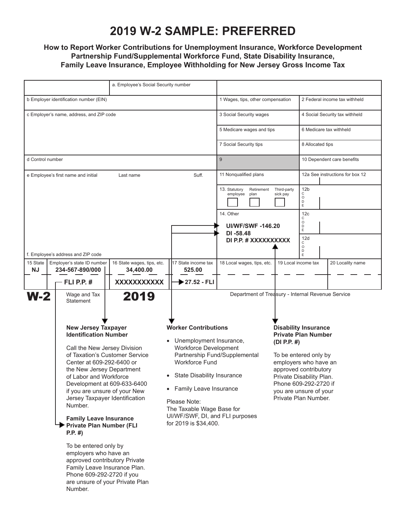## **2019 W-2 SAMPLE: PREFERRED**

#### **How to Report Worker Contributions for Unemployment Insurance, Workforce Development Partnership Fund/Supplemental Workforce Fund, State Disability Insurance, Family Leave Insurance, Employee Withholding for New Jersey Gross Income Tax**

|                                                              | a. Employee's Social Security number                                                                              |                                     |                                                         |                                   |                                                                            |                                                   |                                                              |                                 |  |
|--------------------------------------------------------------|-------------------------------------------------------------------------------------------------------------------|-------------------------------------|---------------------------------------------------------|-----------------------------------|----------------------------------------------------------------------------|---------------------------------------------------|--------------------------------------------------------------|---------------------------------|--|
| b Employer identification number (EIN)                       |                                                                                                                   |                                     |                                                         |                                   | 1 Wages, tips, other compensation                                          |                                                   | 2 Federal income tax withheld                                |                                 |  |
| c Employer's name, address, and ZIP code                     |                                                                                                                   |                                     |                                                         |                                   | 3 Social Security wages                                                    |                                                   | 4 Social Security tax withheld                               |                                 |  |
|                                                              |                                                                                                                   |                                     |                                                         |                                   |                                                                            | 5 Medicare wages and tips                         |                                                              | 6 Medicare tax withheld         |  |
|                                                              |                                                                                                                   |                                     |                                                         |                                   |                                                                            | 7 Social Security tips                            |                                                              | 8 Allocated tips                |  |
|                                                              | d Control number                                                                                                  |                                     |                                                         |                                   | 9                                                                          |                                                   |                                                              | 10 Dependent care benefits      |  |
|                                                              |                                                                                                                   | e Employee's first name and initial | Last name                                               | Suff.                             | 11 Nonqualified plans                                                      |                                                   |                                                              | 12a See instructions for box 12 |  |
|                                                              |                                                                                                                   |                                     |                                                         |                                   | 13. Statutory<br>Retirement<br>employee<br>plan                            | Third-party<br>sick pay                           | 12 <sub>b</sub><br>С<br>$\circ$<br>$\mathsf{D}_{\mathsf{E}}$ |                                 |  |
|                                                              |                                                                                                                   |                                     |                                                         |                                   | 14. Other<br><b>UI/WF/SWF-146.20</b>                                       |                                                   | 12c<br>С<br>$\circ$<br>D                                     |                                 |  |
|                                                              |                                                                                                                   |                                     |                                                         | DI -58.48<br>DI P.P. # XXXXXXXXXX |                                                                            | $\mathsf E$<br>12d                                |                                                              |                                 |  |
|                                                              |                                                                                                                   |                                     |                                                         |                                   |                                                                            |                                                   | C<br>$\circ$<br>$\frac{D}{E}$                                |                                 |  |
| 15 State<br>NJ                                               | f. Employee's address and ZIP code<br>Employer's state ID number<br>16 State wages, tips, etc.<br>234-567-890/000 |                                     |                                                         | 17 State income tax<br>525.00     | 18 Local wages, tips, etc.                                                 |                                                   | 19 Local income tax                                          | 20 Locality name                |  |
|                                                              |                                                                                                                   | - FLI P.P. #                        | 34,400.00<br>XXXXXXXXXXX                                | 27.52 - FLI                       |                                                                            |                                                   |                                                              |                                 |  |
| <b>W-2</b>                                                   |                                                                                                                   | Wage and Tax                        | 2019                                                    |                                   | Department of Treasury - Internal Revenue Service                          |                                                   |                                                              |                                 |  |
|                                                              | <b>Statement</b>                                                                                                  |                                     |                                                         |                                   |                                                                            | <b>Disability Insurance</b>                       |                                                              |                                 |  |
|                                                              | <b>New Jersey Taxpayer</b><br><b>Identification Number</b>                                                        |                                     |                                                         | <b>Worker Contributions</b>       |                                                                            |                                                   |                                                              |                                 |  |
|                                                              |                                                                                                                   |                                     |                                                         |                                   |                                                                            | <b>Private Plan Number</b>                        |                                                              |                                 |  |
|                                                              |                                                                                                                   |                                     | Unemployment Insurance,<br><b>Workforce Development</b> |                                   | (DI P.P. $#$ )                                                             |                                                   |                                                              |                                 |  |
|                                                              | Call the New Jersey Division<br>of Taxation's Customer Service                                                    |                                     |                                                         | Partnership Fund/Supplemental     |                                                                            |                                                   | To be entered only by                                        |                                 |  |
|                                                              | Center at 609-292-6400 or                                                                                         |                                     |                                                         | <b>Workforce Fund</b>             |                                                                            | employers who have an                             |                                                              |                                 |  |
|                                                              | the New Jersey Department<br>of Labor and Workforce                                                               |                                     |                                                         | • State Disability Insurance      |                                                                            | approved contributory<br>Private Disability Plan. |                                                              |                                 |  |
|                                                              | Development at 609-633-6400                                                                                       |                                     |                                                         |                                   |                                                                            | Phone 609-292-2720 if                             |                                                              |                                 |  |
|                                                              | if you are unsure of your New<br>Jersey Taxpayer Identification                                                   |                                     |                                                         |                                   | • Family Leave Insurance<br>you are unsure of your<br>Private Plan Number. |                                                   |                                                              |                                 |  |
|                                                              | Please Note:<br>Number.                                                                                           |                                     |                                                         |                                   |                                                                            |                                                   |                                                              |                                 |  |
|                                                              | The Taxable Wage Base for<br>UI/WF/SWF, DI, and FLI purposes<br><b>Family Leave Insurance</b>                     |                                     |                                                         |                                   |                                                                            |                                                   |                                                              |                                 |  |
|                                                              | Private Plan Number (FLI<br>$P.P. \#$                                                                             |                                     |                                                         | for 2019 is \$34,400.             |                                                                            |                                                   |                                                              |                                 |  |
|                                                              | To be entered only by                                                                                             |                                     |                                                         |                                   |                                                                            |                                                   |                                                              |                                 |  |
| employers who have an<br>approved contributory Private       |                                                                                                                   |                                     |                                                         |                                   |                                                                            |                                                   |                                                              |                                 |  |
| Family Leave Insurance Plan.                                 |                                                                                                                   |                                     |                                                         |                                   |                                                                            |                                                   |                                                              |                                 |  |
| Phone 609-292-2720 if you<br>are unsure of your Private Plan |                                                                                                                   |                                     |                                                         |                                   |                                                                            |                                                   |                                                              |                                 |  |
|                                                              | Number.                                                                                                           |                                     |                                                         |                                   |                                                                            |                                                   |                                                              |                                 |  |
|                                                              |                                                                                                                   |                                     |                                                         |                                   |                                                                            |                                                   |                                                              |                                 |  |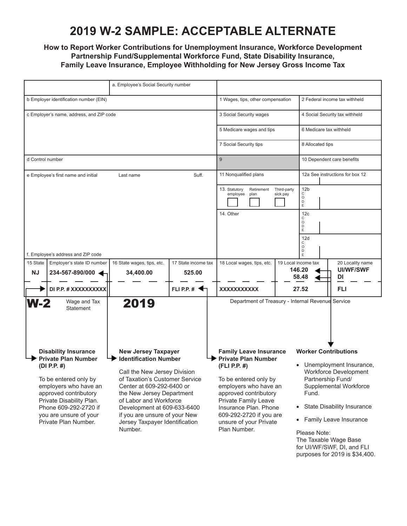### **2019 W-2 SAMPLE: ACCEPTABLE ALTERNATE**

#### **How to Report Worker Contributions for Unemployment Insurance, Workforce Development Partnership Fund/Supplemental Workforce Fund, State Disability Insurance, Family Leave Insurance, Employee Withholding for New Jersey Gross Income Tax**

| a. Employee's Social Security number                                                                                    |                                                                         |                                                                                          |                               |                                                                                                                                                                                               |  |                                                              |                                      |  |
|-------------------------------------------------------------------------------------------------------------------------|-------------------------------------------------------------------------|------------------------------------------------------------------------------------------|-------------------------------|-----------------------------------------------------------------------------------------------------------------------------------------------------------------------------------------------|--|--------------------------------------------------------------|--------------------------------------|--|
| b Employer identification number (EIN)                                                                                  |                                                                         |                                                                                          |                               | 1 Wages, tips, other compensation                                                                                                                                                             |  | 2 Federal income tax withheld                                |                                      |  |
|                                                                                                                         | c Employer's name, address, and ZIP code                                | 3 Social Security wages                                                                  |                               | 4 Social Security tax withheld                                                                                                                                                                |  |                                                              |                                      |  |
|                                                                                                                         |                                                                         |                                                                                          |                               | 5 Medicare wages and tips                                                                                                                                                                     |  | 6 Medicare tax withheld                                      |                                      |  |
|                                                                                                                         |                                                                         |                                                                                          |                               | 7 Social Security tips                                                                                                                                                                        |  | 8 Allocated tips                                             |                                      |  |
| d Control number                                                                                                        |                                                                         |                                                                                          |                               | 9                                                                                                                                                                                             |  | 10 Dependent care benefits                                   |                                      |  |
|                                                                                                                         | e Employee's first name and initial                                     | Last name                                                                                | Suff.                         | 11 Nonqualified plans                                                                                                                                                                         |  | 12a See instructions for box 12                              |                                      |  |
|                                                                                                                         |                                                                         |                                                                                          |                               | 13. Statutory<br>Retirement<br>Third-party<br>sick pay<br>employee<br>plan                                                                                                                    |  | 12 <sub>b</sub><br>С<br>$\circ$<br>$\mathsf{D}_{\mathsf{E}}$ |                                      |  |
|                                                                                                                         |                                                                         |                                                                                          |                               | 14. Other<br>12 <sub>c</sub><br>С                                                                                                                                                             |  |                                                              |                                      |  |
|                                                                                                                         |                                                                         |                                                                                          |                               |                                                                                                                                                                                               |  | $\circ$<br>D<br>E                                            |                                      |  |
|                                                                                                                         |                                                                         |                                                                                          |                               | 12d<br>С<br>$\circ$<br>$\mathsf D$                                                                                                                                                            |  |                                                              |                                      |  |
|                                                                                                                         | f. Employee's address and ZIP code                                      |                                                                                          |                               |                                                                                                                                                                                               |  | E.                                                           |                                      |  |
| 15 State<br><b>NJ</b>                                                                                                   | Employer's state ID number<br>234-567-890/000                           | 16 State wages, tips, etc.<br>34,400.00                                                  | 17 State income tax<br>525.00 | 18 Local wages, tips, etc.                                                                                                                                                                    |  | 19 Local income tax<br>146.20                                | 20 Locality name<br><b>UI/WF/SWF</b> |  |
|                                                                                                                         | DI P.P. # XXXXXXXXXX                                                    |                                                                                          | FLIPP <sub>#</sub>            | <b>XXXXXXXXXXX</b>                                                                                                                                                                            |  | 58.48<br>27.52                                               | DI<br><b>FLI</b>                     |  |
|                                                                                                                         |                                                                         |                                                                                          |                               |                                                                                                                                                                                               |  |                                                              |                                      |  |
| Department of Treasury - Internal Revenue Service<br>2019<br>Wage and Tax<br>$W-2$<br>Statement                         |                                                                         |                                                                                          |                               |                                                                                                                                                                                               |  |                                                              |                                      |  |
| <b>Disability Insurance</b><br><b>New Jersey Taxpayer</b><br><b>Private Plan Number</b><br><b>Identification Number</b> |                                                                         |                                                                                          |                               | <b>Worker Contributions</b><br><b>Family Leave Insurance</b><br><b>Private Plan Number</b>                                                                                                    |  |                                                              |                                      |  |
|                                                                                                                         | (DI P.P. $#$ )                                                          | Call the New Jersey Division                                                             |                               | (FLI P.P. #)                                                                                                                                                                                  |  | Unemployment Insurance,<br><b>Workforce Development</b>      |                                      |  |
|                                                                                                                         | To be entered only by<br>employers who have an<br>approved contributory | of Taxation's Customer Service<br>Center at 609-292-6400 or<br>the New Jersey Department |                               | To be entered only by<br>employers who have an<br>approved contributory<br>Private Family Leave<br>Insurance Plan. Phone<br>609-292-2720 if you are<br>unsure of your Private<br>Plan Number. |  | Partnership Fund/<br>Supplemental Workforce<br>Fund.         |                                      |  |
|                                                                                                                         | Private Disability Plan.<br>Phone 609-292-2720 if                       | of Labor and Workforce<br>Development at 609-633-6400<br>if you are unsure of your New   |                               |                                                                                                                                                                                               |  | <b>State Disability Insurance</b><br>$\bullet$               |                                      |  |
|                                                                                                                         | you are unsure of your<br>Private Plan Number.                          | Jersey Taxpayer Identification<br>Number.                                                |                               |                                                                                                                                                                                               |  | • Family Leave Insurance                                     |                                      |  |
|                                                                                                                         |                                                                         |                                                                                          |                               |                                                                                                                                                                                               |  | Please Note:                                                 |                                      |  |

The Taxable Wage Base for UI/WF/SWF, DI, and FLI purposes for 2019 is \$34,400.